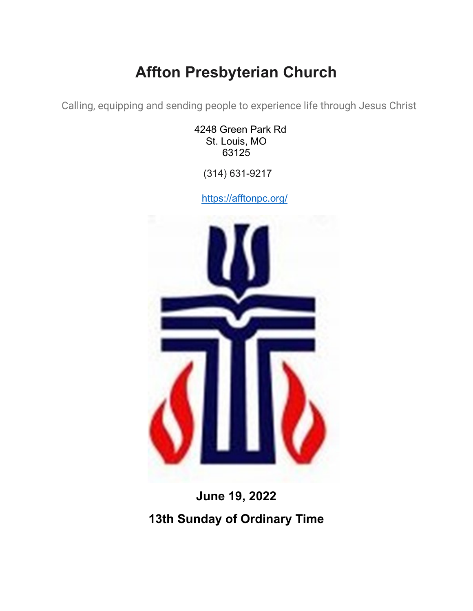## **Affton Presbyterian Church**

Calling, equipping and sending people to experience life through Jesus Christ

4248 Green Park Rd St. Louis, MO 63125

(314) 631-9217

<https://afftonpc.org/>



# **June 19, 2022 13th Sunday of Ordinary Time**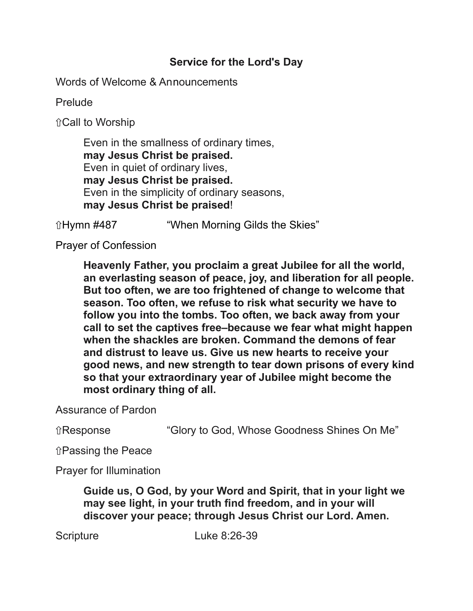## **Service for the Lord's Day**

Words of Welcome & Announcements

Prelude

⇧Call to Worship

Even in the smallness of ordinary times, **may Jesus Christ be praised.** Even in quiet of ordinary lives, **may Jesus Christ be praised.** Even in the simplicity of ordinary seasons, **may Jesus Christ be praised**!

ûHymn #487 "When Morning Gilds the Skies"

Prayer of Confession

**Heavenly Father, you proclaim a great Jubilee for all the world, an everlasting season of peace, joy, and liberation for all people. But too often, we are too frightened of change to welcome that season. Too often, we refuse to risk what security we have to follow you into the tombs. Too often, we back away from your call to set the captives free–because we fear what might happen when the shackles are broken. Command the demons of fear and distrust to leave us. Give us new hearts to receive your good news, and new strength to tear down prisons of every kind so that your extraordinary year of Jubilee might become the most ordinary thing of all.**

Assurance of Pardon

⇧Response "Glory to God, Whose Goodness Shines On Me"

⇧Passing the Peace

Prayer for Illumination

**Guide us, O God, by your Word and Spirit, that in your light we may see light, in your truth find freedom, and in your will discover your peace; through Jesus Christ our Lord. Amen.**

Scripture Luke 8:26-39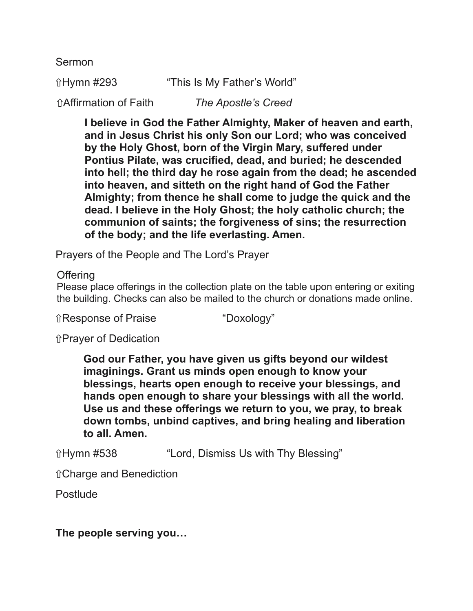Sermon

ûHymn #293 "This Is My Father's World" ⇧Affirmation of Faith *The Apostle's Creed*

> **I believe in God the Father Almighty, Maker of heaven and earth, and in Jesus Christ his only Son our Lord; who was conceived by the Holy Ghost, born of the Virgin Mary, suffered under Pontius Pilate, was crucified, dead, and buried; he descended into hell; the third day he rose again from the dead; he ascended into heaven, and sitteth on the right hand of God the Father Almighty; from thence he shall come to judge the quick and the dead. I believe in the Holy Ghost; the holy catholic church; the communion of saints; the forgiveness of sins; the resurrection of the body; and the life everlasting. Amen.**

Prayers of the People and The Lord's Prayer

**Offering** 

Please place offerings in the collection plate on the table upon entering or exiting the building. Checks can also be mailed to the church or donations made online.

⇧Response of Praise "Doxology"

⇧Prayer of Dedication

**God our Father, you have given us gifts beyond our wildest imaginings. Grant us minds open enough to know your blessings, hearts open enough to receive your blessings, and hands open enough to share your blessings with all the world. Use us and these offerings we return to you, we pray, to break down tombs, unbind captives, and bring healing and liberation to all. Amen.**

ûHymn #538 "Lord, Dismiss Us with Thy Blessing"

⇧Charge and Benediction

Postlude

**The people serving you…**